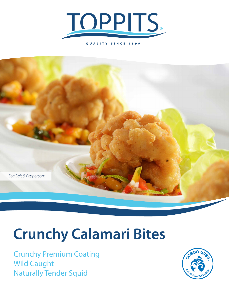

**QUALITY SINCE 1899**



# **Crunchy Calamari Bites**

Crunchy Premium Coating Wild Caught Naturally Tender Squid